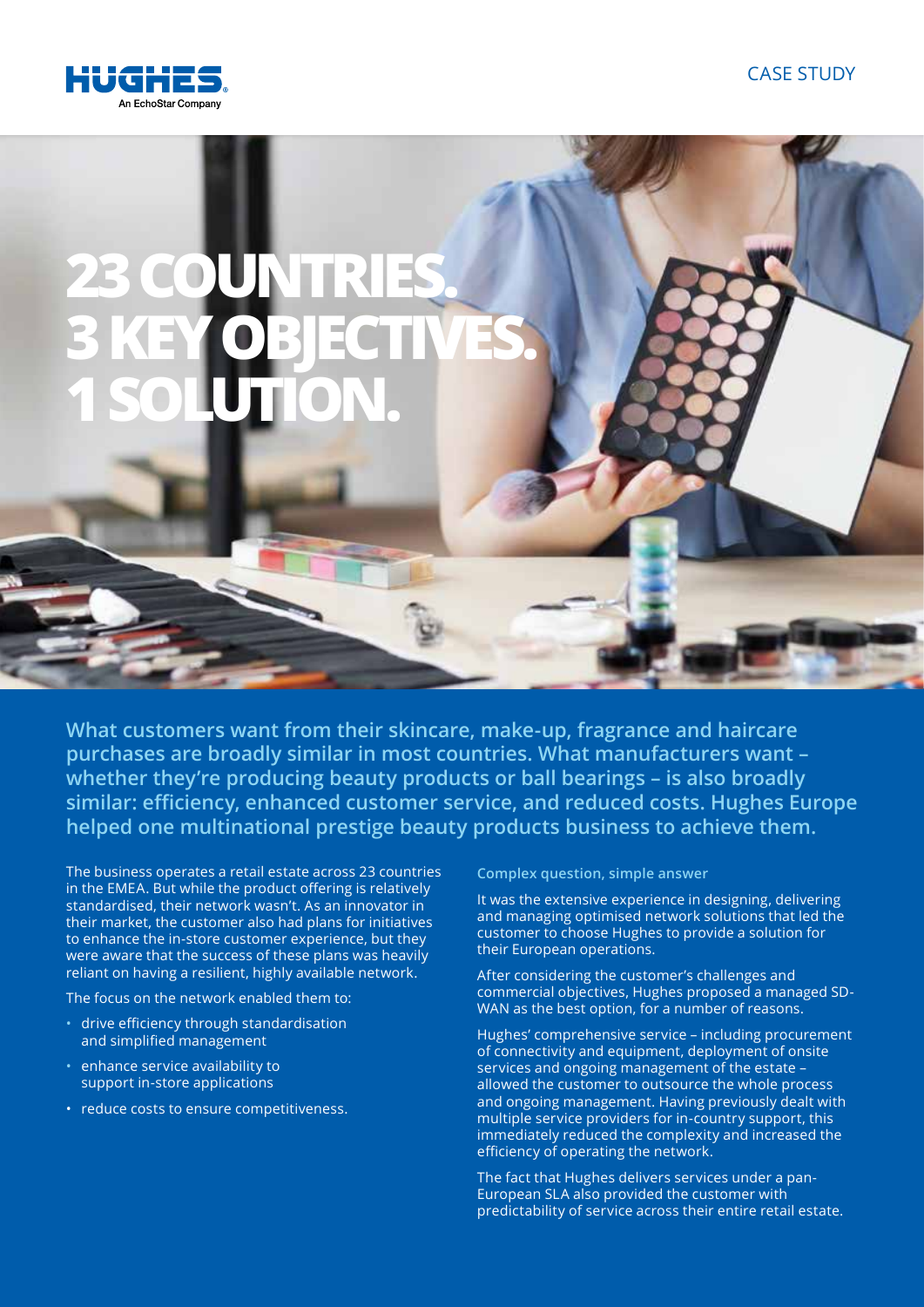

## **23 COUNT 3 KEY OBJECTIVES. 1 SOLUTION.**

**What customers want from their skincare, make-up, fragrance and haircare purchases are broadly similar in most countries. What manufacturers want – whether they're producing beauty products or ball bearings – is also broadly similar: efficiency, enhanced customer service, and reduced costs. Hughes Europe helped one multinational prestige beauty products business to achieve them.** 

The business operates a retail estate across 23 countries in the EMEA. But while the product offering is relatively standardised, their network wasn't. As an innovator in their market, the customer also had plans for initiatives to enhance the in-store customer experience, but they were aware that the success of these plans was heavily reliant on having a resilient, highly available network.

The focus on the network enabled them to:

- drive efficiency through standardisation and simplified management
- enhance service availability to support in-store applications
- reduce costs to ensure competitiveness.

**Complex question, simple answer**

It was the extensive experience in designing, delivering and managing optimised network solutions that led the customer to choose Hughes to provide a solution for their European operations.

After considering the customer's challenges and commercial objectives, Hughes proposed a managed SD-WAN as the best option, for a number of reasons.

Hughes' comprehensive service – including procurement of connectivity and equipment, deployment of onsite services and ongoing management of the estate – allowed the customer to outsource the whole process and ongoing management. Having previously dealt with multiple service providers for in-country support, this immediately reduced the complexity and increased the efficiency of operating the network.

The fact that Hughes delivers services under a pan-European SLA also provided the customer with predictability of service across their entire retail estate.